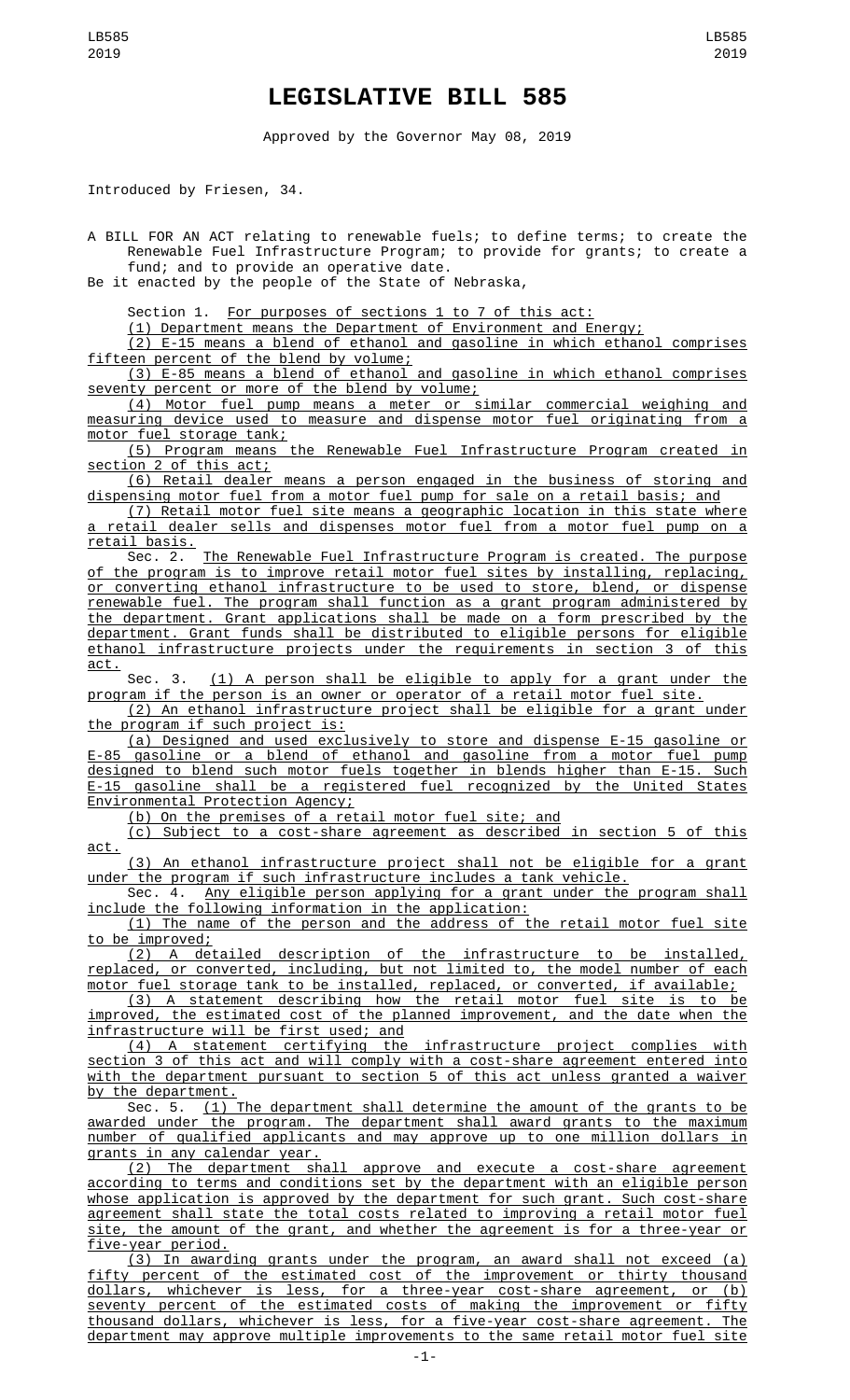## **LEGISLATIVE BILL 585**

Approved by the Governor May 08, 2019

Introduced by Friesen, 34.

A BILL FOR AN ACT relating to renewable fuels; to define terms; to create the Renewable Fuel Infrastructure Program; to provide for grants; to create a fund; and to provide an operative date.

Be it enacted by the people of the State of Nebraska,

Section 1. For purposes of sections 1 to 7 of this act:

(1) Department means the Department of Environment and Energy;

(2) E-15 means a blend of ethanol and gasoline in which ethanol comprises fifteen percent of the blend by volume;

(3) E-85 means a blend of ethanol and gasoline in which ethanol comprises seventy percent or more of the blend by volume;

(4) Motor fuel pump means a meter or similar commercial weighing and measuring device used to measure and dispense motor fuel originating from a motor fuel storage tank;

(5) Program means the Renewable Fuel Infrastructure Program created in <u>ion 2 of this act;</u>

(6) Retail dealer means a person engaged in the business of storing and dispensing motor fuel from a motor fuel pump for sale on a retail basis; and

(7) Retail motor fuel site means a geographic location in this state where retail dealer sells and dispenses motor fuel from a motor fuel pump on a retail basis.<br>Sec. 2.

The Renewable Fuel Infrastructure Program is created. The purpose of the program is to improve retail motor fuel sites by installing, replacing, or converting ethanol infrastructure to be used to store, blend, or dispense renewable fuel. The program shall function as a grant program administered by the department. Grant applications shall be made on a form prescribed by the department. Grant funds shall be distributed to eligible persons for eligible ethanol infrastructure projects under the requirements in section 3 of this act.

Sec. 3. <u>(1) A person shall be eligible to apply for a grant under the</u> program if the person is an owner or operator of a retail motor fuel site.

(2) An ethanol infrastructure project shall be eligible for a grant under the program if such project is:

(a) Designed and used exclusively to store and dispense E-15 gasoline or E-85 gasoline or a blend of ethanol and gasoline from a motor fuel pump designed to blend such motor fuels together in blends higher than E-15. Such E-15 gasoline shall be a registered fuel recognized by the United States Environmental Protection Agency;

(b) On the premises of a retail motor fuel site; and

(c) Subject to a cost-share agreement as described in section 5 of this act.

(3) An ethanol infrastructure project shall not be eligible for a grant under the program if such infrastructure includes a tank vehicle.

Sec. 4. Any eligible person applying for a grant under the program shall include the following information in the application:

(1) The name of the person and the address of the retail motor fuel site to be improved;

(2) A detailed description of the infrastructure to be installed, replaced, or converted, including, but not limited to, the model number of each motor fuel storage tank to be installed, replaced, or converted, if available;

(3) A statement describing how the retail motor fuel site is to be improved, the estimated cost of the planned improvement, and the date when the infrastructure will be first used; and

(4) A statement certifying the infrastructure project complies with section 3 of this act and will comply with a cost-share agreement entered into with the department pursuant to section 5 of this act unless granted a waiver by the department.

Sec. 5. (1) The department shall determine the amount of the grants to be awarded under the program. The department shall award grants to the maximum number of qualified applicants and may approve up to one million dollars in grants in any calendar year.

(2) The department shall approve and execute a cost-share agreement according to terms and conditions set by the department with an eligible person whose application is approved by the department for such grant. Such cost-share agreement shall state the total costs related to improving a retail motor fuel site, the amount of the grant, and whether the agreement is for a three-year or five-year period.

(3) In awarding grants under the program, an award shall not exceed (a) fifty percent of the estimated cost of the improvement or thirty thousand dollars, whichever is less, for a three-year cost-share agreement, or (b) seventy percent of the estimated costs of making the improvement or fifty thousand dollars, whichever is less, for a five-year cost-share agreement. The department may approve multiple improvements to the same retail motor fuel site